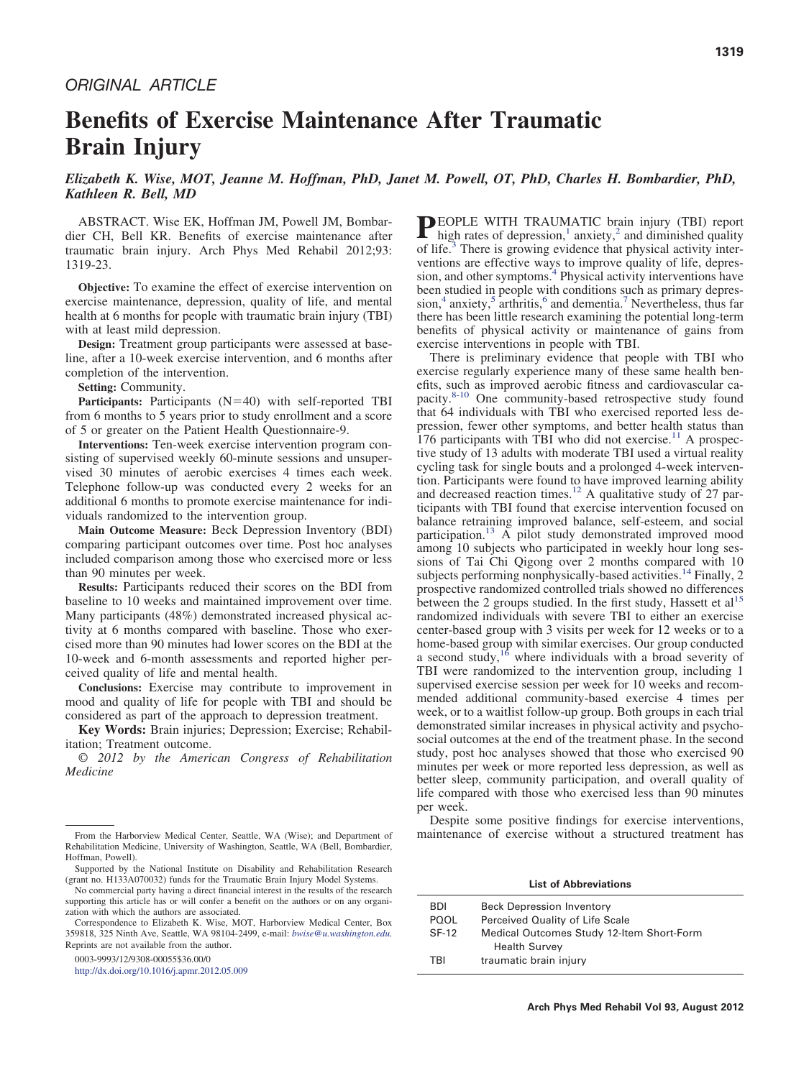# **Benefits of Exercise Maintenance After Traumatic Brain Injury**

# *Elizabeth K. Wise, MOT, Jeanne M. Hoffman, PhD, Janet M. Powell, OT, PhD, Charles H. Bombardier, PhD, Kathleen R. Bell, MD*

ABSTRACT. Wise EK, Hoffman JM, Powell JM, Bombardier CH, Bell KR. Benefits of exercise maintenance after traumatic brain injury. Arch Phys Med Rehabil 2012;93: 1319-23.

**Objective:** To examine the effect of exercise intervention on exercise maintenance, depression, quality of life, and mental health at 6 months for people with traumatic brain injury (TBI) with at least mild depression.

**Design:** Treatment group participants were assessed at baseline, after a 10-week exercise intervention, and 6 months after completion of the intervention.

**Setting:** Community.

Participants: Participants (N=40) with self-reported TBI from 6 months to 5 years prior to study enrollment and a score of 5 or greater on the Patient Health Questionnaire-9.

**Interventions:** Ten-week exercise intervention program consisting of supervised weekly 60-minute sessions and unsupervised 30 minutes of aerobic exercises 4 times each week. Telephone follow-up was conducted every 2 weeks for an additional 6 months to promote exercise maintenance for individuals randomized to the intervention group.

**Main Outcome Measure:** Beck Depression Inventory (BDI) comparing participant outcomes over time. Post hoc analyses included comparison among those who exercised more or less than 90 minutes per week.

**Results:** Participants reduced their scores on the BDI from baseline to 10 weeks and maintained improvement over time. Many participants (48%) demonstrated increased physical activity at 6 months compared with baseline. Those who exercised more than 90 minutes had lower scores on the BDI at the 10-week and 6-month assessments and reported higher perceived quality of life and mental health.

**Conclusions:** Exercise may contribute to improvement in mood and quality of life for people with TBI and should be considered as part of the approach to depression treatment.

**Key Words:** Brain injuries; Depression; Exercise; Rehabilitation; Treatment outcome.

© *2012 by the American Congress of Rehabilitation Medicine*

0003-9993/12/9308-00055\$36.00/0

<http://dx.doi.org/10.1016/j.apmr.2012.05.009>

**PEOPLE WITH TRAUMATIC brain injury (TBI) report** high rates of depression,<sup>[1](#page-3-0)</sup> anxiety,<sup>[2](#page-3-1)</sup> and diminished quality of life[.3](#page-3-2) There is growing evidence that physical activity interventions are effective ways to improve quality of life, depres-sion, and other symptoms.<sup>[4](#page-3-3)</sup> Physical activity interventions have been studied in people with conditions such as primary depression, $4$  anxiety, $5$  arthritis, $6$  and dementia.<sup>7</sup> Nevertheless, thus far there has been little research examining the potential long-term benefits of physical activity or maintenance of gains from exercise interventions in people with TBI.

There is preliminary evidence that people with TBI who exercise regularly experience many of these same health benefits, such as improved aerobic fitness and cardiovascular capacity.[8-10](#page-3-7) One community-based retrospective study found that 64 individuals with TBI who exercised reported less depression, fewer other symptoms, and better health status than  $176$  participants with TBI who did not exercise.<sup>11</sup> A prospective study of 13 adults with moderate TBI used a virtual reality cycling task for single bouts and a prolonged 4-week intervention. Participants were found to have improved learning ability and decreased reaction times.<sup>12</sup> A qualitative study of  $27$  participants with TBI found that exercise intervention focused on balance retraining improved balance, self-esteem, and social participation.<sup>13</sup> A pilot study demonstrated improved mood among 10 subjects who participated in weekly hour long sessions of Tai Chi Qigong over 2 months compared with 10 subjects performing nonphysically-based activities.<sup>[14](#page-4-3)</sup> Finally, 2 prospective randomized controlled trials showed no differences between the 2 groups studied. In the first study, Hassett et al<sup>15</sup> randomized individuals with severe TBI to either an exercise center-based group with 3 visits per week for 12 weeks or to a home-based group with similar exercises. Our group conducted a second study, $16$  where individuals with a broad severity of TBI were randomized to the intervention group, including 1 supervised exercise session per week for 10 weeks and recommended additional community-based exercise 4 times per week, or to a waitlist follow-up group. Both groups in each trial demonstrated similar increases in physical activity and psychosocial outcomes at the end of the treatment phase. In the second study, post hoc analyses showed that those who exercised 90 minutes per week or more reported less depression, as well as better sleep, community participation, and overall quality of life compared with those who exercised less than 90 minutes per week.

Despite some positive findings for exercise interventions, maintenance of exercise without a structured treatment has

**List of Abbreviations**

| <b>BDI</b> | <b>Beck Depression Inventory</b>          |
|------------|-------------------------------------------|
| POOL       | Perceived Quality of Life Scale           |
| $SF-12$    | Medical Outcomes Study 12-Item Short-Form |
|            | <b>Health Survey</b>                      |
| TRI        | traumatic brain injury                    |

From the Harborview Medical Center, Seattle, WA (Wise); and Department of Rehabilitation Medicine, University of Washington, Seattle, WA (Bell, Bombardier, Hoffman, Powell).

Supported by the National Institute on Disability and Rehabilitation Research (grant no. H133A070032) funds for the Traumatic Brain Injury Model Systems.

No commercial party having a direct financial interest in the results of the research supporting this article has or will confer a benefit on the authors or on any organization with which the authors are associated.

Correspondence to Elizabeth K. Wise, MOT, Harborview Medical Center, Box 359818, 325 Ninth Ave, Seattle, WA 98104-2499, e-mail: *[bwise@u.washington.edu.](mailto:bwise@u.washington.edu)* Reprints are not available from the author.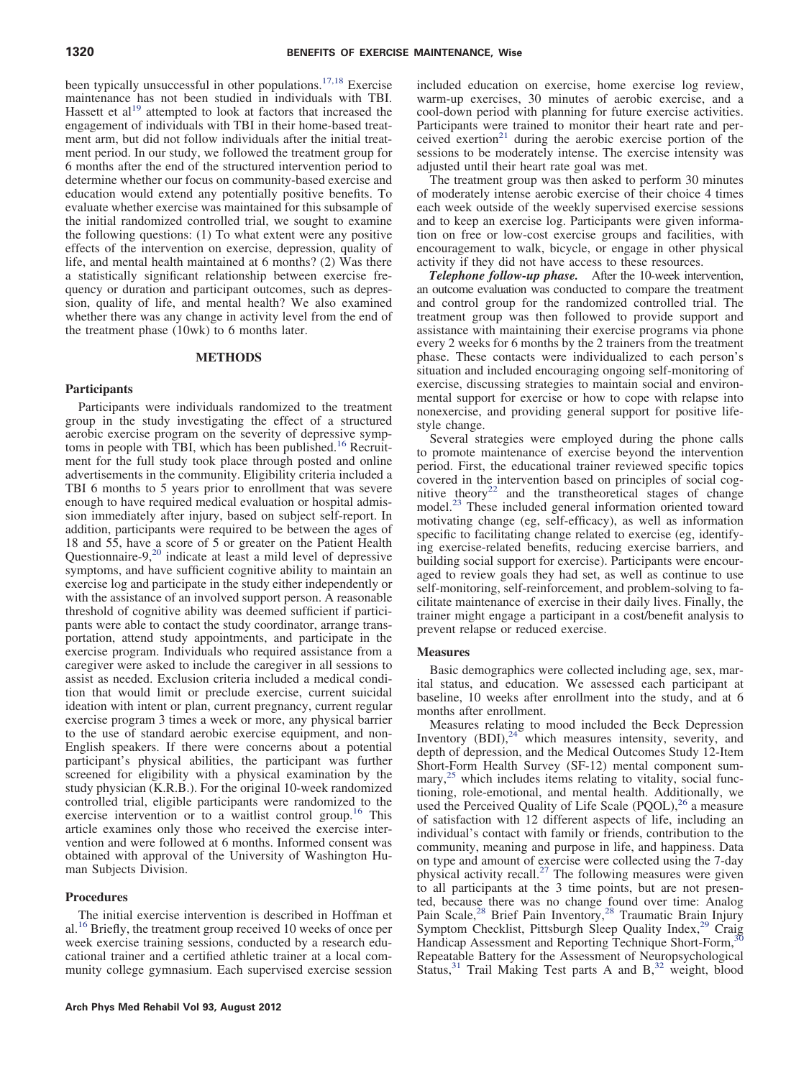been typically unsuccessful in other populations.<sup>[17,18](#page-4-6)</sup> Exercise maintenance has not been studied in individuals with TBI. Hassett et al<sup>[19](#page-4-7)</sup> attempted to look at factors that increased the engagement of individuals with TBI in their home-based treatment arm, but did not follow individuals after the initial treatment period. In our study, we followed the treatment group for 6 months after the end of the structured intervention period to determine whether our focus on community-based exercise and education would extend any potentially positive benefits. To evaluate whether exercise was maintained for this subsample of the initial randomized controlled trial, we sought to examine the following questions: (1) To what extent were any positive effects of the intervention on exercise, depression, quality of life, and mental health maintained at 6 months? (2) Was there a statistically significant relationship between exercise frequency or duration and participant outcomes, such as depression, quality of life, and mental health? We also examined whether there was any change in activity level from the end of the treatment phase (10wk) to 6 months later.

### **METHODS**

# **Participants**

Participants were individuals randomized to the treatment group in the study investigating the effect of a structured aerobic exercise program on the severity of depressive symptoms in people with TBI, which has been published.<sup>16</sup> Recruitment for the full study took place through posted and online advertisements in the community. Eligibility criteria included a TBI 6 months to 5 years prior to enrollment that was severe enough to have required medical evaluation or hospital admission immediately after injury, based on subject self-report. In addition, participants were required to be between the ages of 18 and 55, have a score of 5 or greater on the Patient Health Questionnaire-9,[20](#page-4-8) indicate at least a mild level of depressive symptoms, and have sufficient cognitive ability to maintain an exercise log and participate in the study either independently or with the assistance of an involved support person. A reasonable threshold of cognitive ability was deemed sufficient if participants were able to contact the study coordinator, arrange transportation, attend study appointments, and participate in the exercise program. Individuals who required assistance from a caregiver were asked to include the caregiver in all sessions to assist as needed. Exclusion criteria included a medical condition that would limit or preclude exercise, current suicidal ideation with intent or plan, current pregnancy, current regular exercise program 3 times a week or more, any physical barrier to the use of standard aerobic exercise equipment, and non-English speakers. If there were concerns about a potential participant's physical abilities, the participant was further screened for eligibility with a physical examination by the study physician (K.R.B.). For the original 10-week randomized controlled trial, eligible participants were randomized to the exercise intervention or to a waitlist control group.<sup>[16](#page-4-5)</sup> This article examines only those who received the exercise intervention and were followed at 6 months. Informed consent was obtained with approval of the University of Washington Human Subjects Division.

# **Procedures**

The initial exercise intervention is described in Hoffman et al.<sup>[16](#page-4-5)</sup> Briefly, the treatment group received 10 weeks of once per week exercise training sessions, conducted by a research educational trainer and a certified athletic trainer at a local community college gymnasium. Each supervised exercise session

included education on exercise, home exercise log review, warm-up exercises, 30 minutes of aerobic exercise, and a cool-down period with planning for future exercise activities. Participants were trained to monitor their heart rate and per-ceived exertion<sup>[21](#page-4-9)</sup> during the aerobic exercise portion of the sessions to be moderately intense. The exercise intensity was adjusted until their heart rate goal was met.

The treatment group was then asked to perform 30 minutes of moderately intense aerobic exercise of their choice 4 times each week outside of the weekly supervised exercise sessions and to keep an exercise log. Participants were given information on free or low-cost exercise groups and facilities, with encouragement to walk, bicycle, or engage in other physical activity if they did not have access to these resources.

*Telephone follow-up phase.* After the 10-week intervention, an outcome evaluation was conducted to compare the treatment and control group for the randomized controlled trial. The treatment group was then followed to provide support and assistance with maintaining their exercise programs via phone every 2 weeks for 6 months by the 2 trainers from the treatment phase. These contacts were individualized to each person's situation and included encouraging ongoing self-monitoring of exercise, discussing strategies to maintain social and environmental support for exercise or how to cope with relapse into nonexercise, and providing general support for positive lifestyle change.

Several strategies were employed during the phone calls to promote maintenance of exercise beyond the intervention period. First, the educational trainer reviewed specific topics covered in the intervention based on principles of social cog-nitive theory<sup>[22](#page-4-10)</sup> and the transtheoretical stages of change model[.23](#page-4-11) These included general information oriented toward motivating change (eg, self-efficacy), as well as information specific to facilitating change related to exercise (eg, identifying exercise-related benefits, reducing exercise barriers, and building social support for exercise). Participants were encouraged to review goals they had set, as well as continue to use self-monitoring, self-reinforcement, and problem-solving to facilitate maintenance of exercise in their daily lives. Finally, the trainer might engage a participant in a cost/benefit analysis to prevent relapse or reduced exercise.

#### **Measures**

Basic demographics were collected including age, sex, marital status, and education. We assessed each participant at baseline, 10 weeks after enrollment into the study, and at 6 months after enrollment.

Measures relating to mood included the Beck Depression Inventory  $(BDI)$ , <sup>[24](#page-4-12)</sup> which measures intensity, severity, and depth of depression, and the Medical Outcomes Study 12-Item Short-Form Health Survey (SF-12) mental component summary, $^{25}$  $^{25}$  $^{25}$  which includes items relating to vitality, social functioning, role-emotional, and mental health. Additionally, we used the Perceived Quality of Life Scale  $(POOL)$ ,<sup>26</sup> a measure of satisfaction with 12 different aspects of life, including an individual's contact with family or friends, contribution to the community, meaning and purpose in life, and happiness. Data on type and amount of exercise were collected using the 7-day physical activity recall.[27](#page-4-15) The following measures were given to all participants at the 3 time points, but are not presented, because there was no change found over time: Analog Pain Scale,<sup>[28](#page-4-16)</sup> Brief Pain Inventory,<sup>28</sup> Traumatic Brain Injury Symptom Checklist, Pittsburgh Sleep Quality Index,<sup>29</sup> Craig Handicap Assessment and Reporting Technique Short-Form,<sup>3</sup> Repeatable Battery for the Assessment of Neuropsychological Status,<sup>[31](#page-4-19)</sup> Trail Making Test parts A and  $B$ ,<sup>[32](#page-4-20)</sup> weight, blood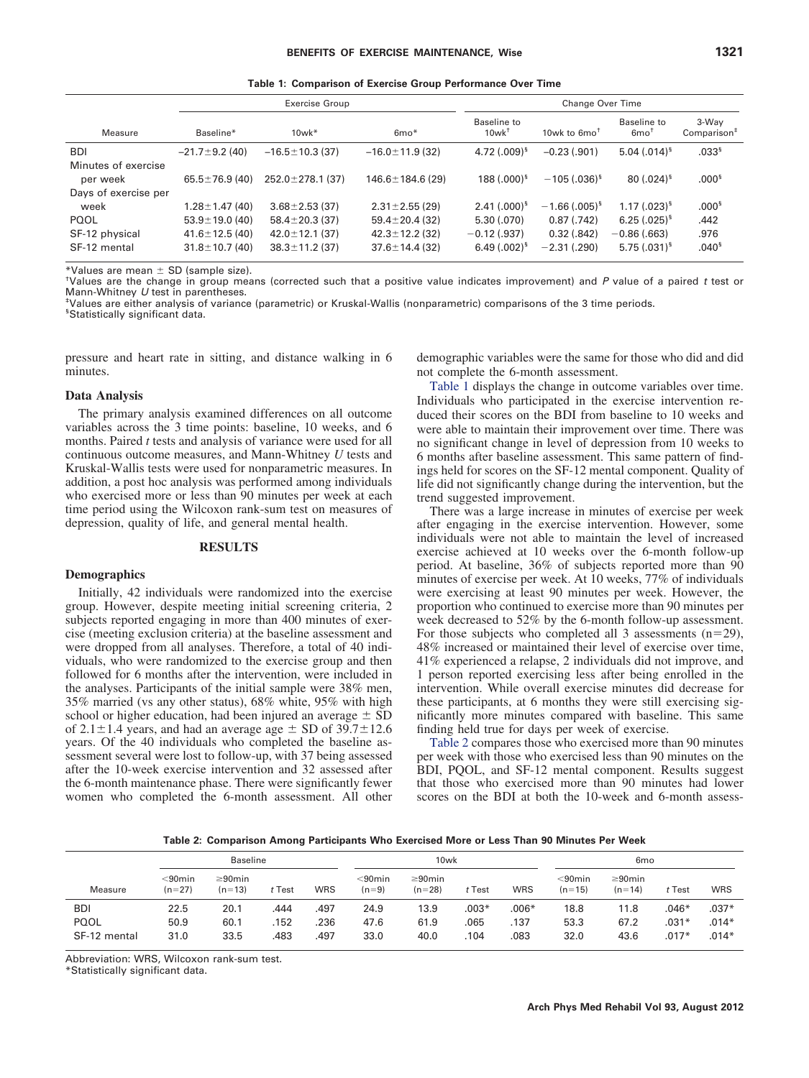<span id="page-2-0"></span>

|  |  |  |  | Table 1: Comparison of Exercise Group Performance Over Time |  |  |
|--|--|--|--|-------------------------------------------------------------|--|--|
|--|--|--|--|-------------------------------------------------------------|--|--|

|                      |                      | <b>Exercise Group</b>  |                        | Change Over Time           |                             |                                |                                  |  |  |
|----------------------|----------------------|------------------------|------------------------|----------------------------|-----------------------------|--------------------------------|----------------------------------|--|--|
| Measure              | Baseline*            | $10wk*$                | $6 \text{mo}^*$        | Baseline to<br>$10$ wk $†$ | 10wk to $6 \text{mo}^1$     | Baseline to<br>$6 \text{mo}^1$ | 3-Way<br>Comparison <sup>#</sup> |  |  |
| <b>BDI</b>           | $-21.7 \pm 9.2$ (40) | $-16.5 \pm 10.3$ (37)  | $-16.0 \pm 11.9$ (32)  | 4.72 $(.009)^{5}$          | $-0.23$ (.901)              | $5.04(.014)^{5}$               | .033 <sup>5</sup>                |  |  |
| Minutes of exercise  |                      |                        |                        |                            |                             |                                |                                  |  |  |
| per week             | $65.5 \pm 76.9$ (40) | $252.0 \pm 278.1$ (37) | $146.6 \pm 184.6$ (29) | $188(0.000)^{5}$           | $-105$ (.036) <sup>§</sup>  | $80(.024)^{5}$                 | .000 <sup>5</sup>                |  |  |
| Days of exercise per |                      |                        |                        |                            |                             |                                |                                  |  |  |
| week                 | $1.28 \pm 1.47$ (40) | $3.68 \pm 2.53$ (37)   | $2.31 \pm 2.55$ (29)   | $2.41(.000)^{5}$           | $-1.66$ (.005) <sup>§</sup> | $1.17(.023)^{5}$               | .000 <sup>5</sup>                |  |  |
| <b>POOL</b>          | $53.9 \pm 19.0$ (40) | $58.4 \pm 20.3$ (37)   | $59.4 \pm 20.4$ (32)   | 5.30(0.070)                | $0.87$ (.742)               | $6.25(.025)^{5}$               | .442                             |  |  |
| SF-12 physical       | $41.6 \pm 12.5$ (40) | $42.0 \pm 12.1$ (37)   | $42.3 \pm 12.2$ (32)   | $-0.12$ (.937)             | 0.32(.842)                  | $-0.86$ (.663)                 | .976                             |  |  |
| SF-12 mental         | $31.8 \pm 10.7$ (40) | $38.3 \pm 11.2$ (37)   | $37.6 \pm 14.4$ (32)   | $6.49(.002)^{5}$           | $-2.31$ (.290)              | $5.75(.031)^{5}$               | .040 <sup>5</sup>                |  |  |

\*Values are mean  $\pm$  SD (sample size).<br>\*Values are the change in group mea

Values are the change in group means (corrected such that a positive value indicates improvement) and *P* value of a paired *t* test or Mann-Whitney *U* test in parentheses.

Values are either analysis of variance (parametric) or Kruskal-Wallis (nonparametric) comparisons of the 3 time periods. § Statistically significant data.

pressure and heart rate in sitting, and distance walking in 6 minutes.

## **Data Analysis**

The primary analysis examined differences on all outcome variables across the 3 time points: baseline, 10 weeks, and 6 months. Paired *t* tests and analysis of variance were used for all continuous outcome measures, and Mann-Whitney *U* tests and Kruskal-Wallis tests were used for nonparametric measures. In addition, a post hoc analysis was performed among individuals who exercised more or less than 90 minutes per week at each time period using the Wilcoxon rank-sum test on measures of depression, quality of life, and general mental health.

# **RESULTS**

# **Demographics**

Initially, 42 individuals were randomized into the exercise group. However, despite meeting initial screening criteria, 2 subjects reported engaging in more than 400 minutes of exercise (meeting exclusion criteria) at the baseline assessment and were dropped from all analyses. Therefore, a total of 40 individuals, who were randomized to the exercise group and then followed for 6 months after the intervention, were included in the analyses. Participants of the initial sample were 38% men, 35% married (vs any other status), 68% white, 95% with high school or higher education, had been injured an average  $\pm$  SD of  $2.1 \pm 1.4$  years, and had an average age  $\pm$  SD of 39.7 $\pm$ 12.6 years. Of the 40 individuals who completed the baseline assessment several were lost to follow-up, with 37 being assessed after the 10-week exercise intervention and 32 assessed after the 6-month maintenance phase. There were significantly fewer women who completed the 6-month assessment. All other

demographic variables were the same for those who did and did not complete the 6-month assessment.

[Table 1](#page-2-0) displays the change in outcome variables over time. Individuals who participated in the exercise intervention reduced their scores on the BDI from baseline to 10 weeks and were able to maintain their improvement over time. There was no significant change in level of depression from 10 weeks to 6 months after baseline assessment. This same pattern of findings held for scores on the SF-12 mental component. Quality of life did not significantly change during the intervention, but the trend suggested improvement.

There was a large increase in minutes of exercise per week after engaging in the exercise intervention. However, some individuals were not able to maintain the level of increased exercise achieved at 10 weeks over the 6-month follow-up period. At baseline, 36% of subjects reported more than 90 minutes of exercise per week. At 10 weeks, 77% of individuals were exercising at least 90 minutes per week. However, the proportion who continued to exercise more than 90 minutes per week decreased to 52% by the 6-month follow-up assessment. For those subjects who completed all 3 assessments  $(n=29)$ , 48% increased or maintained their level of exercise over time, 41% experienced a relapse, 2 individuals did not improve, and 1 person reported exercising less after being enrolled in the intervention. While overall exercise minutes did decrease for these participants, at 6 months they were still exercising significantly more minutes compared with baseline. This same finding held true for days per week of exercise.

[Table 2](#page-2-1) compares those who exercised more than 90 minutes per week with those who exercised less than 90 minutes on the BDI, PQOL, and SF-12 mental component. Results suggest that those who exercised more than 90 minutes had lower scores on the BDI at both the 10-week and 6-month assess-

<span id="page-2-1"></span>**Table 2: Comparison Among Participants Who Exercised More or Less Than 90 Minutes Per Week**

|                             | <b>Baseline</b>          |                          |              | 10wk         |                   |                          |              | 6 <sub>mo</sub> |                          |                          |                    |                    |
|-----------------------------|--------------------------|--------------------------|--------------|--------------|-------------------|--------------------------|--------------|-----------------|--------------------------|--------------------------|--------------------|--------------------|
| Measure                     | $<$ 90 $min$<br>$(n=27)$ | $\geq$ 90min<br>$(n=13)$ | t Test       | WRS          | <90min<br>$(n=9)$ | $\geq$ 90min<br>$(n=28)$ | t Test       | <b>WRS</b>      | $<$ 90 $min$<br>$(n=15)$ | $\geq$ 90min<br>$(n=14)$ | t Test             | <b>WRS</b>         |
| <b>BDI</b>                  | 22.5                     | 20.1                     | .444         | .497         | 24.9              | 13.9                     | $.003*$      | $.006*$         | 18.8                     | 11.8                     | $.046*$            | $.037*$            |
| <b>POOL</b><br>SF-12 mental | 50.9<br>31.0             | 60.1<br>33.5             | .152<br>.483 | .236<br>.497 | 47.6<br>33.0      | 61.9<br>40.0             | .065<br>.104 | .137<br>083     | 53.3<br>32.0             | 67.2<br>43.6             | $.031*$<br>$.017*$ | $.014*$<br>$.014*$ |

Abbreviation: WRS, Wilcoxon rank-sum test.

\*Statistically significant data.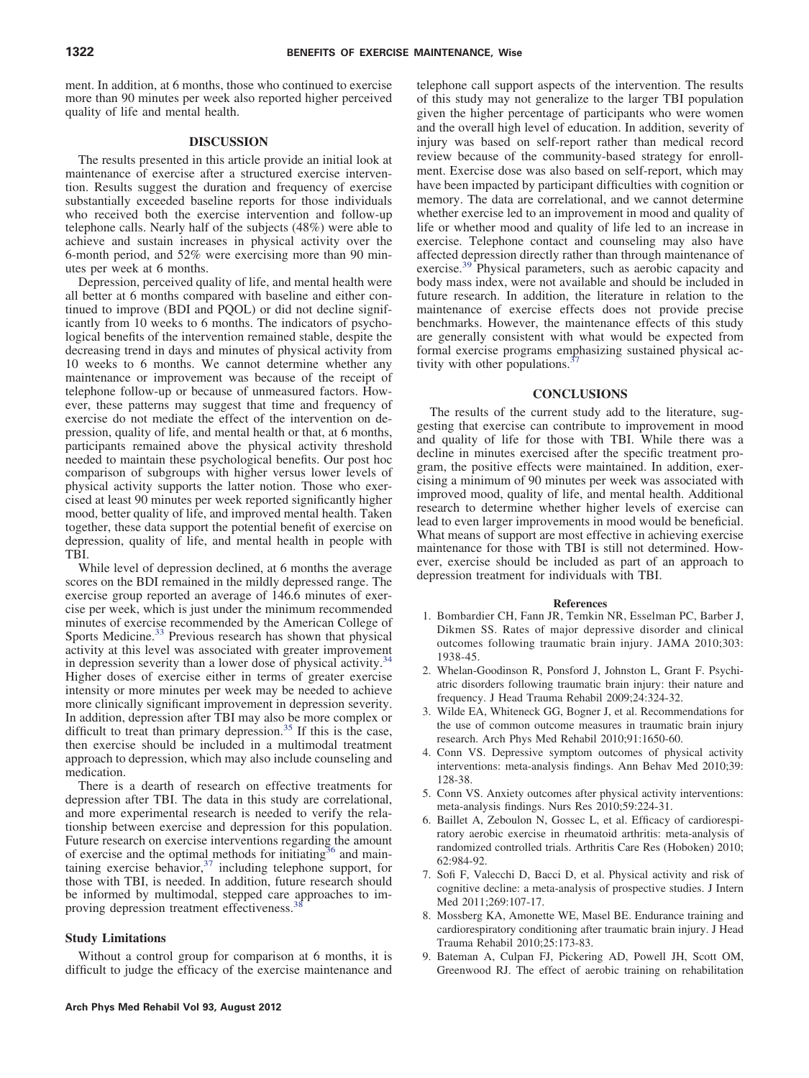ment. In addition, at 6 months, those who continued to exercise more than 90 minutes per week also reported higher perceived quality of life and mental health.

# **DISCUSSION**

The results presented in this article provide an initial look at maintenance of exercise after a structured exercise intervention. Results suggest the duration and frequency of exercise substantially exceeded baseline reports for those individuals who received both the exercise intervention and follow-up telephone calls. Nearly half of the subjects (48%) were able to achieve and sustain increases in physical activity over the 6-month period, and 52% were exercising more than 90 minutes per week at 6 months.

Depression, perceived quality of life, and mental health were all better at 6 months compared with baseline and either continued to improve (BDI and PQOL) or did not decline significantly from 10 weeks to 6 months. The indicators of psychological benefits of the intervention remained stable, despite the decreasing trend in days and minutes of physical activity from 10 weeks to 6 months. We cannot determine whether any maintenance or improvement was because of the receipt of telephone follow-up or because of unmeasured factors. However, these patterns may suggest that time and frequency of exercise do not mediate the effect of the intervention on depression, quality of life, and mental health or that, at 6 months, participants remained above the physical activity threshold needed to maintain these psychological benefits. Our post hoc comparison of subgroups with higher versus lower levels of physical activity supports the latter notion. Those who exercised at least 90 minutes per week reported significantly higher mood, better quality of life, and improved mental health. Taken together, these data support the potential benefit of exercise on depression, quality of life, and mental health in people with TBI.

While level of depression declined, at 6 months the average scores on the BDI remained in the mildly depressed range. The exercise group reported an average of 146.6 minutes of exercise per week, which is just under the minimum recommended minutes of exercise recommended by the American College of Sports Medicine.<sup>[33](#page-4-21)</sup> Previous research has shown that physical activity at this level was associated with greater improvement in depression severity than a lower dose of physical activity. $34$ Higher doses of exercise either in terms of greater exercise intensity or more minutes per week may be needed to achieve more clinically significant improvement in depression severity. In addition, depression after TBI may also be more complex or difficult to treat than primary depression.<sup>[35](#page-4-23)</sup> If this is the case, then exercise should be included in a multimodal treatment approach to depression, which may also include counseling and medication.

There is a dearth of research on effective treatments for depression after TBI. The data in this study are correlational, and more experimental research is needed to verify the relationship between exercise and depression for this population. Future research on exercise interventions regarding the amount of exercise and the optimal methods for initiating<sup>[36](#page-4-24)</sup> and maintaining exercise behavior,  $37$  including telephone support, for those with TBI, is needed. In addition, future research should be informed by multimodal, stepped care approaches to improving depression treatment effectiveness.<sup>3</sup>

## **Study Limitations**

Without a control group for comparison at 6 months, it is difficult to judge the efficacy of the exercise maintenance and

telephone call support aspects of the intervention. The results of this study may not generalize to the larger TBI population given the higher percentage of participants who were women and the overall high level of education. In addition, severity of injury was based on self-report rather than medical record review because of the community-based strategy for enrollment. Exercise dose was also based on self-report, which may have been impacted by participant difficulties with cognition or memory. The data are correlational, and we cannot determine whether exercise led to an improvement in mood and quality of life or whether mood and quality of life led to an increase in exercise. Telephone contact and counseling may also have affected depression directly rather than through maintenance of exercise.<sup>[39](#page-4-27)</sup> Physical parameters, such as aerobic capacity and body mass index, were not available and should be included in future research. In addition, the literature in relation to the maintenance of exercise effects does not provide precise benchmarks. However, the maintenance effects of this study are generally consistent with what would be expected from formal exercise programs emphasizing sustained physical activity with other populations.<sup>3</sup>

# **CONCLUSIONS**

The results of the current study add to the literature, suggesting that exercise can contribute to improvement in mood and quality of life for those with TBI. While there was a decline in minutes exercised after the specific treatment program, the positive effects were maintained. In addition, exercising a minimum of 90 minutes per week was associated with improved mood, quality of life, and mental health. Additional research to determine whether higher levels of exercise can lead to even larger improvements in mood would be beneficial. What means of support are most effective in achieving exercise maintenance for those with TBI is still not determined. However, exercise should be included as part of an approach to depression treatment for individuals with TBI.

#### **References**

- <span id="page-3-0"></span>1. Bombardier CH, Fann JR, Temkin NR, Esselman PC, Barber J, Dikmen SS. Rates of major depressive disorder and clinical outcomes following traumatic brain injury. JAMA 2010;303: 1938-45.
- <span id="page-3-1"></span>2. Whelan-Goodinson R, Ponsford J, Johnston L, Grant F. Psychiatric disorders following traumatic brain injury: their nature and frequency. J Head Trauma Rehabil 2009;24:324-32.
- <span id="page-3-2"></span>3. Wilde EA, Whiteneck GG, Bogner J, et al. Recommendations for the use of common outcome measures in traumatic brain injury research. Arch Phys Med Rehabil 2010;91:1650-60.
- <span id="page-3-4"></span><span id="page-3-3"></span>4. Conn VS. Depressive symptom outcomes of physical activity interventions: meta-analysis findings. Ann Behav Med 2010;39: 128-38.
- <span id="page-3-5"></span>5. Conn VS. Anxiety outcomes after physical activity interventions: meta-analysis findings. Nurs Res 2010;59:224-31.
- 6. Baillet A, Zeboulon N, Gossec L, et al. Efficacy of cardiorespiratory aerobic exercise in rheumatoid arthritis: meta-analysis of randomized controlled trials. Arthritis Care Res (Hoboken) 2010; 62:984-92.
- <span id="page-3-7"></span><span id="page-3-6"></span>7. Sofi F, Valecchi D, Bacci D, et al. Physical activity and risk of cognitive decline: a meta-analysis of prospective studies. J Intern Med 2011;269:107-17.
- 8. Mossberg KA, Amonette WE, Masel BE. Endurance training and cardiorespiratory conditioning after traumatic brain injury. J Head Trauma Rehabil 2010;25:173-83.
- 9. Bateman A, Culpan FJ, Pickering AD, Powell JH, Scott OM, Greenwood RJ. The effect of aerobic training on rehabilitation